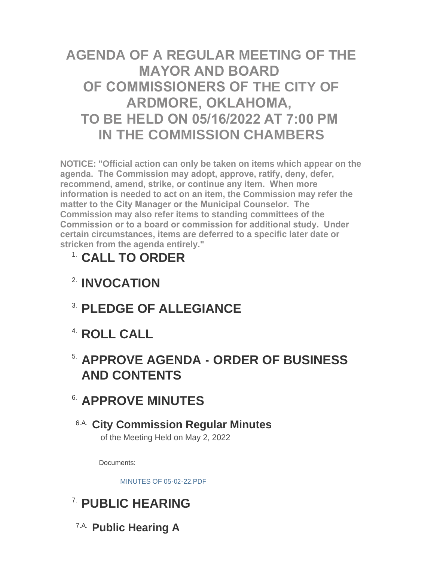# **AGENDA OF A REGULAR MEETING OF THE MAYOR AND BOARD OF COMMISSIONERS OF THE CITY OF ARDMORE, OKLAHOMA, TO BE HELD ON 05/16/2022 AT 7:00 PM IN THE COMMISSION CHAMBERS**

**NOTICE: "Official action can only be taken on items which appear on the agenda. The Commission may adopt, approve, ratify, deny, defer, recommend, amend, strike, or continue any item. When more information is needed to act on an item, the Commission may refer the matter to the City Manager or the Municipal Counselor. The Commission may also refer items to standing committees of the Commission or to a board or commission for additional study. Under certain circumstances, items are deferred to a specific later date or stricken from the agenda entirely."**

# **CALL TO ORDER** 1.

- **INVOCATION** 2.
- **PLEDGE OF ALLEGIANCE** 3.
- **ROLL CALL** 4.

# **APPROVE AGENDA - ORDER OF BUSINESS**  5. **AND CONTENTS**

# **APPROVE MINUTES** 6.

## **City Commission Regular Minutes** 6.A. of the Meeting Held on May 2, 2022

Documents:

[MINUTES OF 05-02-22.PDF](http://www.ardmorecity.org/AgendaCenter/ViewFile/Item/8488?fileID=5086)

# **PUBLIC HEARING** 7.

**Public Hearing A** 7.A.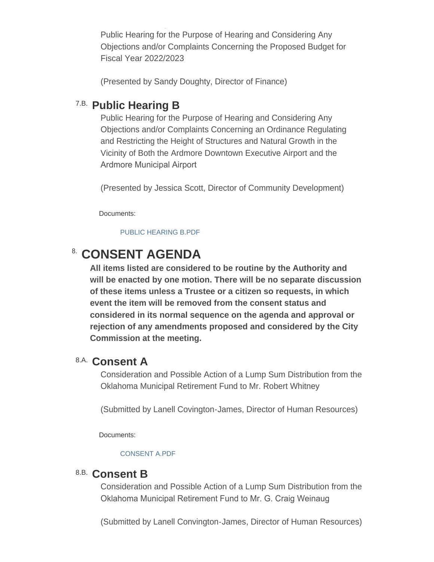Public Hearing for the Purpose of Hearing and Considering Any Objections and/or Complaints Concerning the Proposed Budget for Fiscal Year 2022/2023

(Presented by Sandy Doughty, Director of Finance)

## **Public Hearing B** 7.B.

**Public Hearing A**

Public Hearing for the Purpose of Hearing and Considering Any Objections and/or Complaints Concerning an Ordinance Regulating and Restricting the Height of Structures and Natural Growth in the Vicinity of Both the Ardmore Downtown Executive Airport and the Ardmore Municipal Airport

(Presented by Jessica Scott, Director of Community Development)

Documents:

#### [PUBLIC HEARING B.PDF](http://www.ardmorecity.org/AgendaCenter/ViewFile/Item/8477?fileID=5089)

## **CONSENT AGENDA**

**All items listed are considered to be routine by the Authority and will be enacted by one motion. There will be no separate discussion of these items unless a Trustee or a citizen so requests, in which event the item will be removed from the consent status and considered in its normal sequence on the agenda and approval or rejection of any amendments proposed and considered by the City Commission at the meeting.**

### **Consent A** 8.A.

Consideration and Possible Action of a Lump Sum Distribution from the Oklahoma Municipal Retirement Fund to Mr. Robert Whitney

(Submitted by Lanell Covington-James, Director of Human Resources)

Documents:

#### [CONSENT A.PDF](http://www.ardmorecity.org/AgendaCenter/ViewFile/Item/8469?fileID=5090)

### **Consent B** 8.B.

Consideration and Possible Action of a Lump Sum Distribution from the Oklahoma Municipal Retirement Fund to Mr. G. Craig Weinaug

(Submitted by Lanell Convington-James, Director of Human Resources)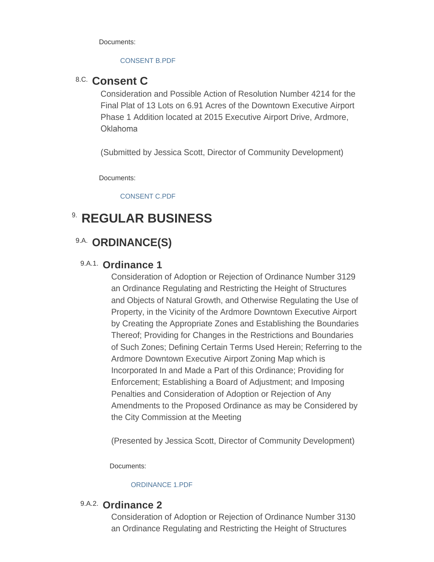Documents:

#### [CONSENT B.PDF](http://www.ardmorecity.org/AgendaCenter/ViewFile/Item/8480?fileID=5091)

### 8.C. Consent C

Consideration and Possible Action of Resolution Number 4214 for the Final Plat of 13 Lots on 6.91 Acres of the Downtown Executive Airport Phase 1 Addition located at 2015 Executive Airport Drive, Ardmore, Oklahoma

(Submitted by Jessica Scott, Director of Community Development)

Documents:

[CONSENT C.PDF](http://www.ardmorecity.org/AgendaCenter/ViewFile/Item/8478?fileID=5092)

# **8. REGULAR BUSINESS**

## 9.A. ORDINANCE(S)

#### 9.A.1. Ordinance 1

Consideration of Adoption or Rejection of Ordinance Number 3129 an Ordinance Regulating and Restricting the Height of Structures and Objects of Natural Growth, and Otherwise Regulating the Use of Property, in the Vicinity of the Ardmore Downtown Executive Airport by Creating the Appropriate Zones and Establishing the Boundaries Thereof; Providing for Changes in the Restrictions and Boundaries of Such Zones; Defining Certain Terms Used Herein; Referring to the Ardmore Downtown Executive Airport Zoning Map which is Incorporated In and Made a Part of this Ordinance; Providing for Enforcement; Establishing a Board of Adjustment; and Imposing Penalties and Consideration of Adoption or Rejection of Any Amendments to the Proposed Ordinance as may be Considered by the City Commission at the Meeting

(Presented by Jessica Scott, Director of Community Development)

Documents:

#### [ORDINANCE 1.PDF](http://www.ardmorecity.org/AgendaCenter/ViewFile/Item/8481?fileID=5093)

### 9.A.2. Ordinance 2

Consideration of Adoption or Rejection of Ordinance Number 3130 an Ordinance Regulating and Restricting the Height of Structures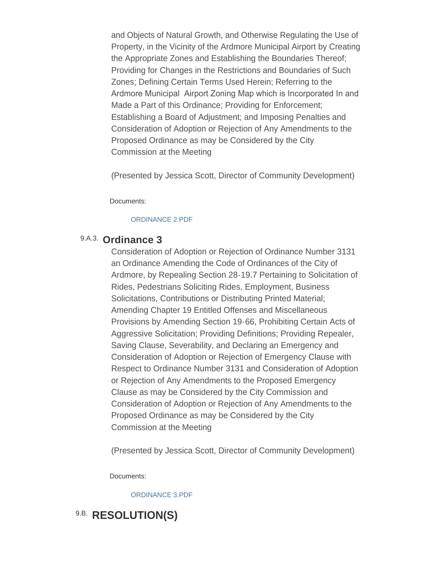and Objects of Natural Growth, and Otherwise Regulating the Use of Property, in the Vicinity of the Ardmore Municipal Airport by Creating the Appropriate Zones and Establishing the Boundaries Thereof; Providing for Changes in the Restrictions and Boundaries of Such Zones; Defining Certain Terms Used Herein; Referring to the Ardmore Municipal Airport Zoning Map which is Incorporated In and Made a Part of this Ordinance; Providing for Enforcement; Establishing a Board of Adjustment; and Imposing Penalties and Consideration of Adoption or Rejection of Any Amendments to the Proposed Ordinance as may be Considered by the City Commission at the Meeting

(Presented by Jessica Scott, Director of Community Development)

Documents:

#### [ORDINANCE 2.PDF](http://www.ardmorecity.org/AgendaCenter/ViewFile/Item/8490?fileID=5094)

### 9.A.3. Ordinance 3

Consideration of Adoption or Rejection of Ordinance Number 3131 an Ordinance Amending the Code of Ordinances of the City of Ardmore, by Repealing Section 28-19.7 Pertaining to Solicitation of Rides, Pedestrians Soliciting Rides, Employment, Business Solicitations, Contributions or Distributing Printed Material; Amending Chapter 19 Entitled Offenses and Miscellaneous Provisions by Amending Section 19-66, Prohibiting Certain Acts of Aggressive Solicitation; Providing Definitions; Providing Repealer, Saving Clause, Severability, and Declaring an Emergency and Consideration of Adoption or Rejection of Emergency Clause with Respect to Ordinance Number 3131 and Consideration of Adoption or Rejection of Any Amendments to the Proposed Emergency Clause as may be Considered by the City Commission and Consideration of Adoption or Rejection of Any Amendments to the Proposed Ordinance as may be Considered by the City Commission at the Meeting

(Presented by Jessica Scott, Director of Community Development)

Documents:

[ORDINANCE 3.PDF](http://www.ardmorecity.org/AgendaCenter/ViewFile/Item/8479?fileID=5095)

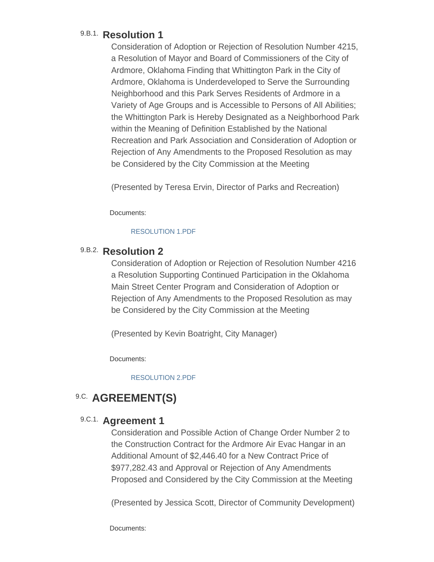### 9.B.1. Resolution 1

Consideration of Adoption or Rejection of Resolution Number 4215, a Resolution of Mayor and Board of Commissioners of the City of Ardmore, Oklahoma Finding that Whittington Park in the City of Ardmore, Oklahoma is Underdeveloped to Serve the Surrounding Neighborhood and this Park Serves Residents of Ardmore in a Variety of Age Groups and is Accessible to Persons of All Abilities; the Whittington Park is Hereby Designated as a Neighborhood Park within the Meaning of Definition Established by the National Recreation and Park Association and Consideration of Adoption or Rejection of Any Amendments to the Proposed Resolution as may be Considered by the City Commission at the Meeting

(Presented by Teresa Ervin, Director of Parks and Recreation)

Documents:

#### [RESOLUTION 1.PDF](http://www.ardmorecity.org/AgendaCenter/ViewFile/Item/8470?fileID=5096)

### 9.B.2. Resolution 2

Consideration of Adoption or Rejection of Resolution Number 4216 a Resolution Supporting Continued Participation in the Oklahoma Main Street Center Program and Consideration of Adoption or Rejection of Any Amendments to the Proposed Resolution as may be Considered by the City Commission at the Meeting

(Presented by Kevin Boatright, City Manager)

Documents:

[RESOLUTION 2.PDF](http://www.ardmorecity.org/AgendaCenter/ViewFile/Item/8471?fileID=5097)

## **9.C. AGREEMENT(S)**

### 9.C.1. **Agreement 1**

Consideration and Possible Action of Change Order Number 2 to the Construction Contract for the Ardmore Air Evac Hangar in an Additional Amount of \$2,446.40 for a New Contract Price of \$977,282.43 and Approval or Rejection of Any Amendments Proposed and Considered by the City Commission at the Meeting

(Presented by Jessica Scott, Director of Community Development)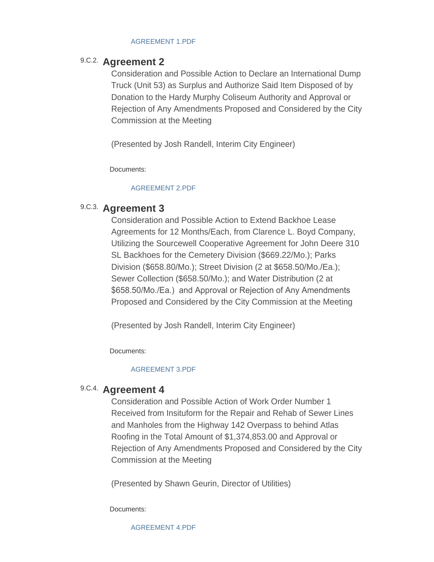#### [AGREEMENT 1.PDF](http://www.ardmorecity.org/AgendaCenter/ViewFile/Item/8482?fileID=5098)

### 9.C.2. **Agreement 2**

Consideration and Possible Action to Declare an International Dump Truck (Unit 53) as Surplus and Authorize Said Item Disposed of by Donation to the Hardy Murphy Coliseum Authority and Approval or Rejection of Any Amendments Proposed and Considered by the City Commission at the Meeting

(Presented by Josh Randell, Interim City Engineer)

Documents:

#### [AGREEMENT 2.PDF](http://www.ardmorecity.org/AgendaCenter/ViewFile/Item/8483?fileID=5099)

### 9.C.3. Agreement 3

Consideration and Possible Action to Extend Backhoe Lease Agreements for 12 Months/Each, from Clarence L. Boyd Company, Utilizing the Sourcewell Cooperative Agreement for John Deere 310 SL Backhoes for the Cemetery Division (\$669.22/Mo.); Parks Division (\$658.80/Mo.); Street Division (2 at \$658.50/Mo./Ea.); Sewer Collection (\$658.50/Mo.); and Water Distribution (2 at \$658.50/Mo./Ea.) and Approval or Rejection of Any Amendments Proposed and Considered by the City Commission at the Meeting

(Presented by Josh Randell, Interim City Engineer)

Documents:

#### [AGREEMENT 3.PDF](http://www.ardmorecity.org/AgendaCenter/ViewFile/Item/8485?fileID=5100)

### 9.C.4. **Agreement 4**

Consideration and Possible Action of Work Order Number 1 Received from Insituform for the Repair and Rehab of Sewer Lines and Manholes from the Highway 142 Overpass to behind Atlas Roofing in the Total Amount of \$1,374,853.00 and Approval or Rejection of Any Amendments Proposed and Considered by the City Commission at the Meeting

(Presented by Shawn Geurin, Director of Utilities)

Documents:

[AGREEMENT 4.PDF](http://www.ardmorecity.org/AgendaCenter/ViewFile/Item/8486?fileID=5101)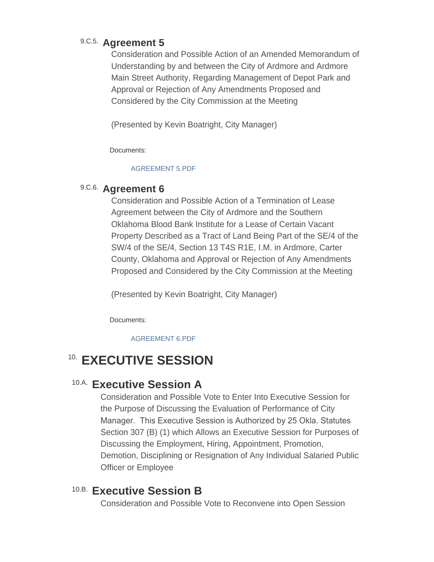### 9.C.5. **Agreement 5**

Consideration and Possible Action of an Amended Memorandum of Understanding by and between the City of Ardmore and Ardmore Main Street Authority, Regarding Management of Depot Park and Approval or Rejection of Any Amendments Proposed and Considered by the City Commission at the Meeting

(Presented by Kevin Boatright, City Manager)

Documents:

#### [AGREEMENT 5.PDF](http://www.ardmorecity.org/AgendaCenter/ViewFile/Item/8472?fileID=5102)

### 9.C.6. Agreement 6

Consideration and Possible Action of a Termination of Lease Agreement between the City of Ardmore and the Southern Oklahoma Blood Bank Institute for a Lease of Certain Vacant Property Described as a Tract of Land Being Part of the SE/4 of the SW/4 of the SE/4, Section 13 T4S R1E, I.M. in Ardmore, Carter County, Oklahoma and Approval or Rejection of Any Amendments Proposed and Considered by the City Commission at the Meeting

(Presented by Kevin Boatright, City Manager)

Documents:

[AGREEMENT 6.PDF](http://www.ardmorecity.org/AgendaCenter/ViewFile/Item/8473?fileID=5103)

# **EXECUTIVE SESSION** 10.

## **Executive Session A** 10.A.

Consideration and Possible Vote to Enter Into Executive Session for the Purpose of Discussing the Evaluation of Performance of City Manager. This Executive Session is Authorized by 25 Okla. Statutes Section 307 (B) (1) which Allows an Executive Session for Purposes of Discussing the Employment, Hiring, Appointment, Promotion, Demotion, Disciplining or Resignation of Any Individual Salaried Public Officer or Employee

## **Executive Session B** 10.B.

Consideration and Possible Vote to Reconvene into Open Session